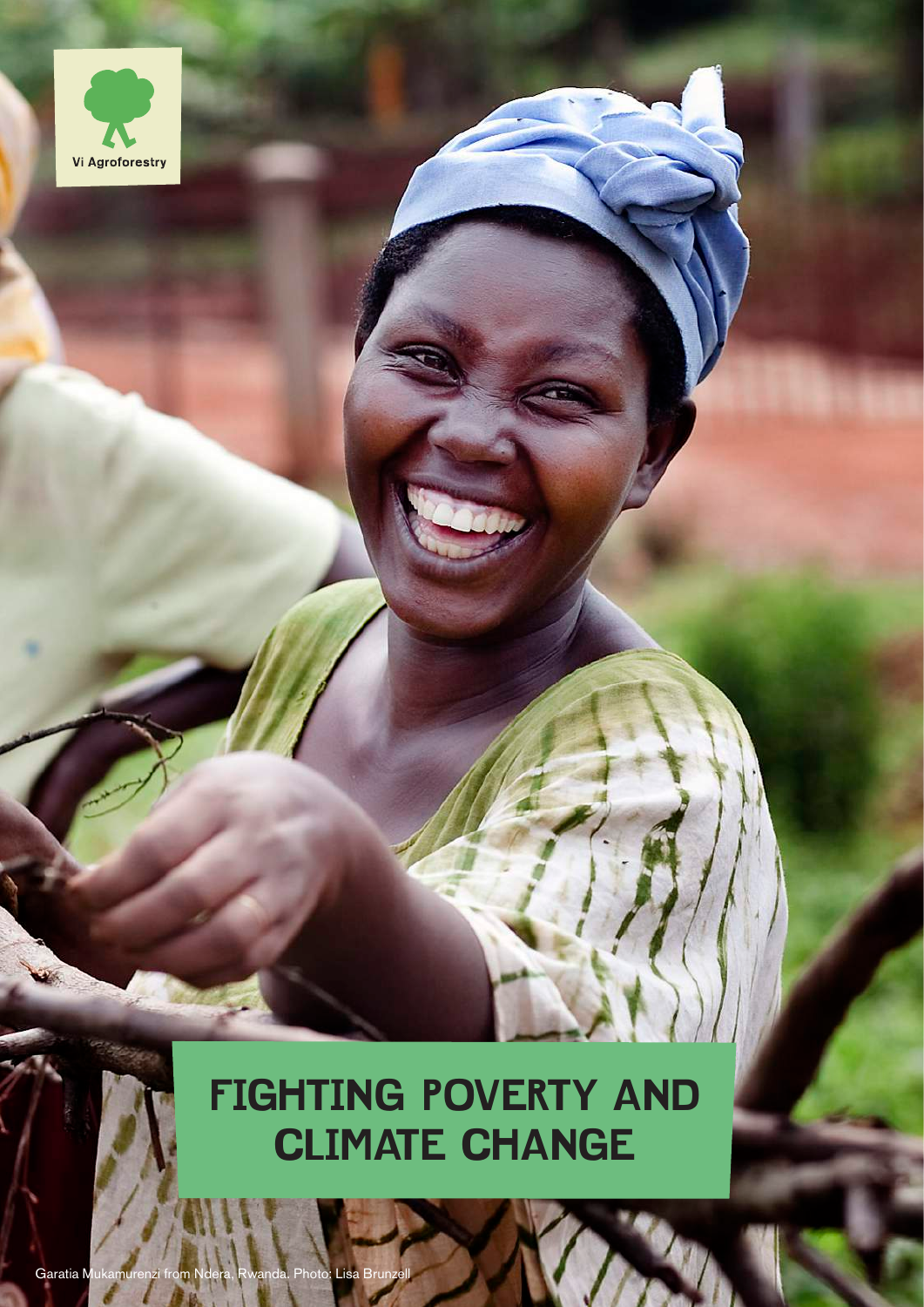

# **FIGHTING POVERTY AND CLIMATE CHANGE**

Garatia Mukamurenzi from Ndera, Rwanda. Photo: Lisa Brun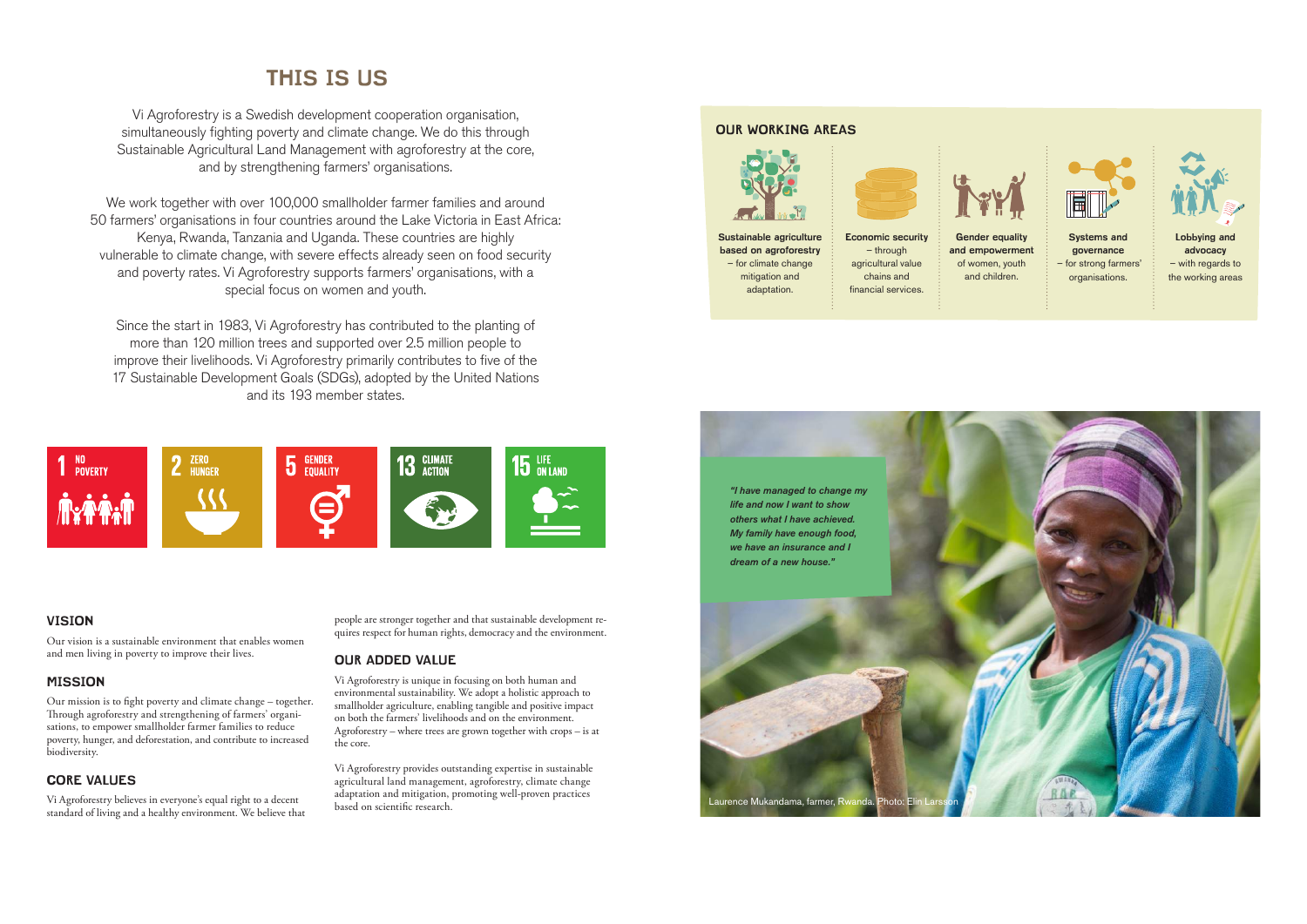# **THIS IS US**

Vi Agroforestry is a Swedish development cooperation organisation, simultaneously fighting poverty and climate change. We do this through Sustainable Agricultural Land Management with agroforestry at the core, and by strengthening farmers' organisations.

We work together with over 100,000 smallholder farmer families and around 50 farmers' organisations in four countries around the Lake Victoria in East Africa: Kenya, Rwanda, Tanzania and Uganda. These countries are highly vulnerable to climate change, with severe effects already seen on food security and poverty rates. Vi Agroforestry supports farmers' organisations, with a special focus on women and youth.

> people are stronger together and that sustainable development requires respect for human rights, democracy and the environment.

Since the start in 1983, Vi Agroforestry has contributed to the planting of more than 120 million trees and supported over 2.5 million people to improve their livelihoods. Vi Agroforestry primarily contributes to five of the 17 Sustainable Development Goals (SDGs), adopted by the United Nations and its 193 member states.



# **VISION**

Our vision is a sustainable environment that enables women and men living in poverty to improve their lives.

# **MISSION**

Our mission is to fight poverty and climate change – together. Through agroforestry and strengthening of farmers' organisations, to empower smallholder farmer families to reduce poverty, hunger, and deforestation, and contribute to increased biodiversity.

# **CORE VALUES**

Vi Agroforestry believes in everyone's equal right to a decent standard of living and a healthy environment. We believe that

# **OUR ADDED VALUE**

Vi Agroforestry is unique in focusing on both human and environmental sustainability. We adopt a holistic approach to smallholder agriculture, enabling tangible and positive impact on both the farmers' livelihoods and on the environment. Agroforestry – where trees are grown together with crops – is at the core.

Vi Agroforestry provides outstanding expertise in sustainable agricultural land management, agroforestry, climate change adaptation and mitigation, promoting well-proven practices based on scientific research.

**Sustainable agriculture based on agroforestry** – for climate change mitigation and



adaptation.

**Economic security**  – through agricultural value chains and financial services.

**Gender equality and empowerment** of women, youth and children.



 – for strong farmers' organisations.



**advocacy**  – with regards to the working areas





# **OUR WORKING AREAS**

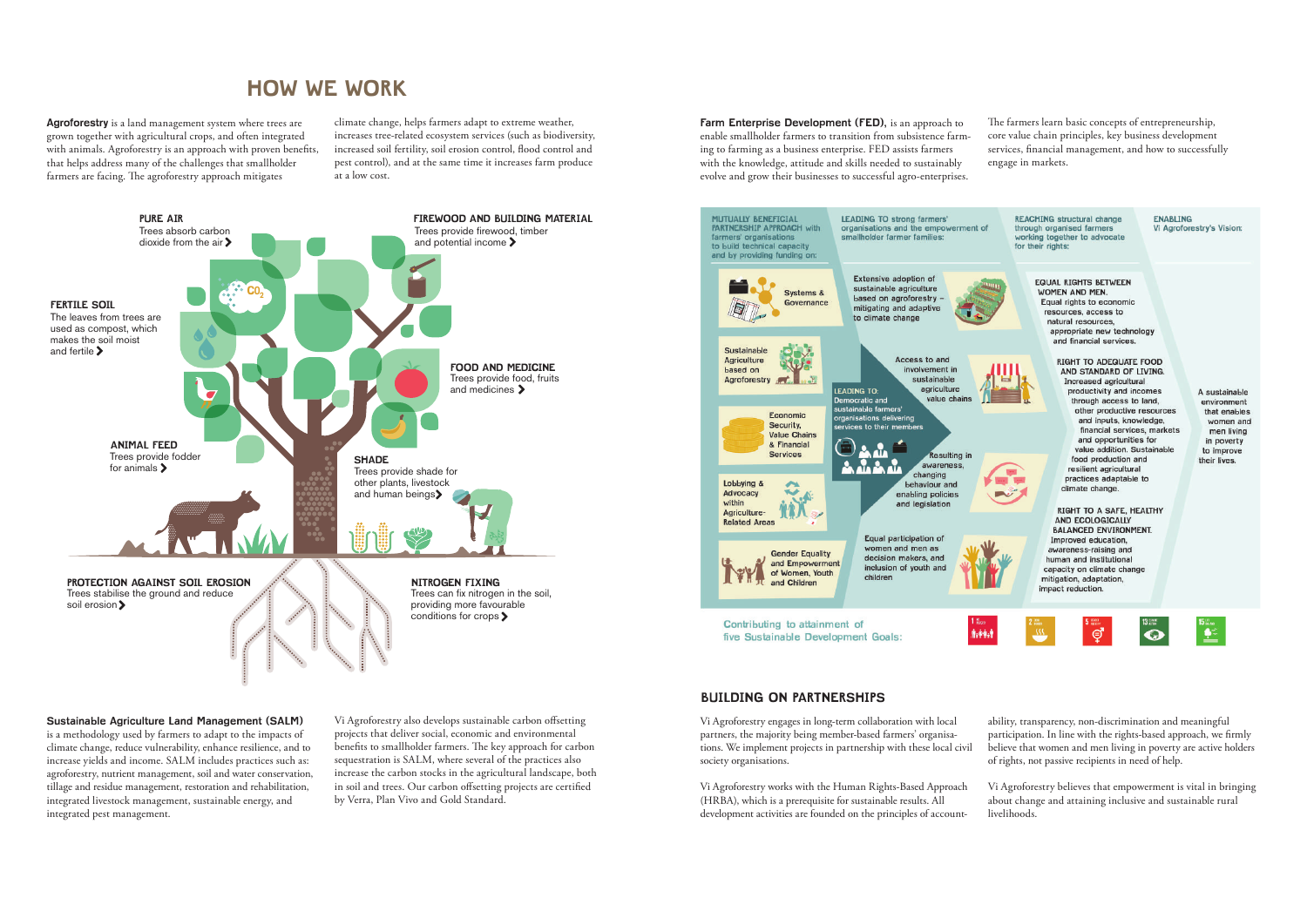**Agroforestry** is a land management system where trees are grown together with agricultural crops, and often integrated with animals. Agroforestry is an approach with proven benefits, that helps address many of the challenges that smallholder farmers are facing. The agroforestry approach mitigates

climate change, helps farmers adapt to extreme weather, increases tree-related ecosystem services (such as biodiversity, increased soil fertility, soil erosion control, flood control and pest control), and at the same time it increases farm produce at a low cost.

# **HOW WE WORK**



**Farm Enterprise Development (FED), is an approach to** enable smallholder farmers to transition from subsistence farming to farming as a business enterprise. FED assists farmers with the knowledge, attitude and skills needed to sustainably evolve and grow their businesses to successful agro-enterprises.



### **Sustainable Agriculture Land Management (SALM)**

is a methodology used by farmers to adapt to the impacts of climate change, reduce vulnerability, enhance resilience, and to increase yields and income. SALM includes practices such as: agroforestry, nutrient management, soil and water conservation, tillage and residue management, restoration and rehabilitation, integrated livestock management, sustainable energy, and integrated pest management.

Vi Agroforestry also develops sustainable carbon offsetting projects that deliver social, economic and environmental benefits to smallholder farmers. The key approach for carbon sequestration is SALM, where several of the practices also increase the carbon stocks in the agricultural landscape, both in soil and trees. Our carbon offsetting projects are certified by Verra, Plan Vivo and Gold Standard.

The farmers learn basic concepts of entrepreneurship, core value chain principles, key business development services, financial management, and how to successfully engage in markets.

Vi Agroforestry works with the Human Rights-Based Approach (HRBA), which is a prerequisite for sustainable results. All development activities are founded on the principles of account-

Vi Agroforestry engages in long-term collaboration with local partners, the majority being member-based farmers' organisations. We implement projects in partnership with these local civil society organisations. ability, transparency, non-discrimination and meaningful participation. In line with the rights-based approach, we firmly believe that women and men living in poverty are active holders of rights, not passive recipients in need of help.

> Vi Agroforestry believes that empowerment is vital in bringing about change and attaining inclusive and sustainable rural livelihoods.

## **BUILDING ON PARTNERSHIPS**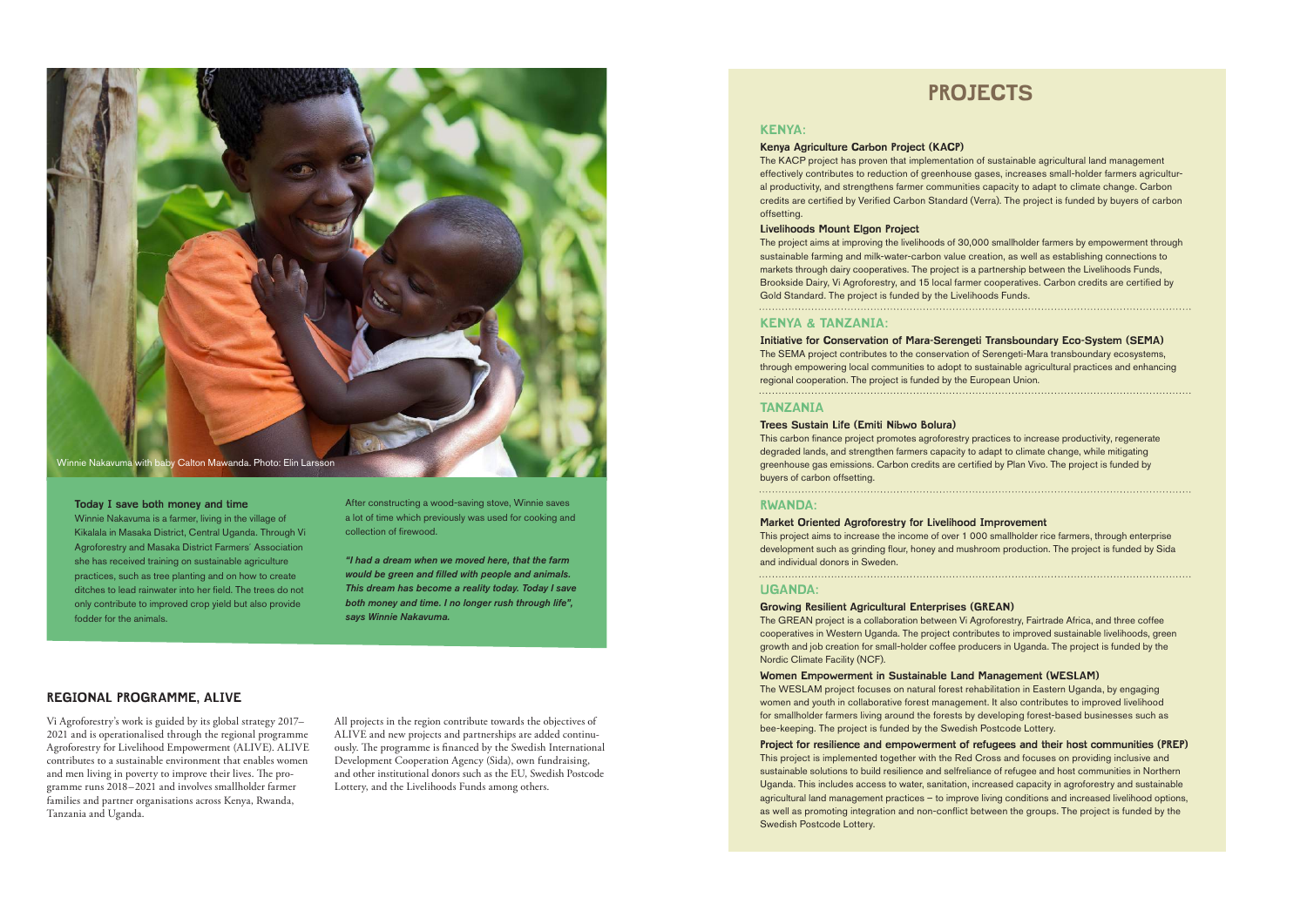Vi Agroforestry's work is guided by its global strategy 2017– 2021 and is operationalised through the regional programme Agroforestry for Livelihood Empowerment (ALIVE). ALIVE contributes to a sustainable environment that enables women and men living in poverty to improve their lives. The programme runs 2018–2021 and involves smallholder farmer families and partner organisations across Kenya, Rwanda, Tanzania and Uganda.

All projects in the region contribute towards the objectives of ALIVE and new projects and partnerships are added continuously. The programme is financed by the Swedish International Development Cooperation Agency (Sida), own fundraising, and other institutional donors such as the EU, Swedish Postcode Lottery, and the Livelihoods Funds among others.

### **KENYA:**

#### **Kenya Agriculture Carbon Project (KACP)**

The KACP project has proven that implementation of sustainable agricultural land management effectively contributes to reduction of greenhouse gases, increases small-holder farmers agricultural productivity, and strengthens farmer communities capacity to adapt to climate change. Carbon credits are certified by Verified Carbon Standard (Verra). The project is funded by buyers of carbon offsetting.

#### **Livelihoods Mount Elgon Project**

The project aims at improving the livelihoods of 30,000 smallholder farmers by empowerment through sustainable farming and milk-water-carbon value creation, as well as establishing connections to markets through dairy cooperatives. The project is a partnership between the Livelihoods Funds, Brookside Dairy, Vi Agroforestry, and 15 local farmer cooperatives. Carbon credits are certified by Gold Standard. The project is funded by the Livelihoods Funds.

#### **KENYA & TANZANIA:**

**Initiative for Conservation of Mara-Serengeti Transboundary Eco-System (SEMA)** The SEMA project contributes to the conservation of Serengeti-Mara transboundary ecosystems, through empowering local communities to adopt to sustainable agricultural practices and enhancing regional cooperation. The project is funded by the European Union. 

## **TANZANIA**

#### **Trees Sustain Life (Emiti Nibwo Bolura)**

This carbon finance project promotes agroforestry practices to increase productivity, regenerate degraded lands, and strengthen farmers capacity to adapt to climate change, while mitigating greenhouse gas emissions. Carbon credits are certified by Plan Vivo. The project is funded by buyers of carbon offsetting.

#### **RWANDA:**

**Market Oriented Agroforestry for Livelihood Improvement**  This project aims to increase the income of over 1 000 smallholder rice farmers, through enterprise development such as grinding flour, honey and mushroom production. The project is funded by Sida and individual donors in Sweden.

#### **UGANDA:**

**Growing Resilient Agricultural Enterprises (GREAN)** The GREAN project is a collaboration between Vi Agroforestry, Fairtrade Africa, and three coffee cooperatives in Western Uganda. The project contributes to improved sustainable livelihoods, green growth and job creation for small-holder coffee producers in Uganda. The project is funded by the Nordic Climate Facility (NCF).

### **Women Empowerment in Sustainable Land Management (WESLAM)** The WESLAM project focuses on natural forest rehabilitation in Eastern Uganda, by engaging women and youth in collaborative forest management. It also contributes to improved livelihood for smallholder farmers living around the forests by developing forest-based businesses such as bee-keeping. The project is funded by the Swedish Postcode Lottery.

**Project for resilience and empowerment of refugees and their host communities (PREP)** This project is implemented together with the Red Cross and focuses on providing inclusive and sustainable solutions to build resilience and selfreliance of refugee and host communities in Northern Uganda. This includes access to water, sanitation, increased capacity in agroforestry and sustainable agricultural land management practices – to improve living conditions and increased livelihood options, as well as promoting integration and non-conflict between the groups. The project is funded by the Swedish Postcode Lottery.

# **PROJECTS**

After constructing a wood-saving stove, Winnie saves a lot of time which previously was used for cooking and collection of firewood.

*"I had a dream when we moved here, that the farm would be green and filled with people and animals. This dream has become a reality today. Today I save both money and time. I no longer rush through life", says Winnie Nakavuma.*

#### **Today I save both money and time**

Winnie Nakavuma is a farmer, living in the village of Kikalala in Masaka District, Central Uganda. Through Vi Agroforestry and Masaka District Farmers´ Association she has received training on sustainable agriculture practices, such as tree planting and on how to create ditches to lead rainwater into her field. The trees do not only contribute to improved crop yield but also provide fodder for the animals.



## **REGIONAL PROGRAMME, ALIVE**